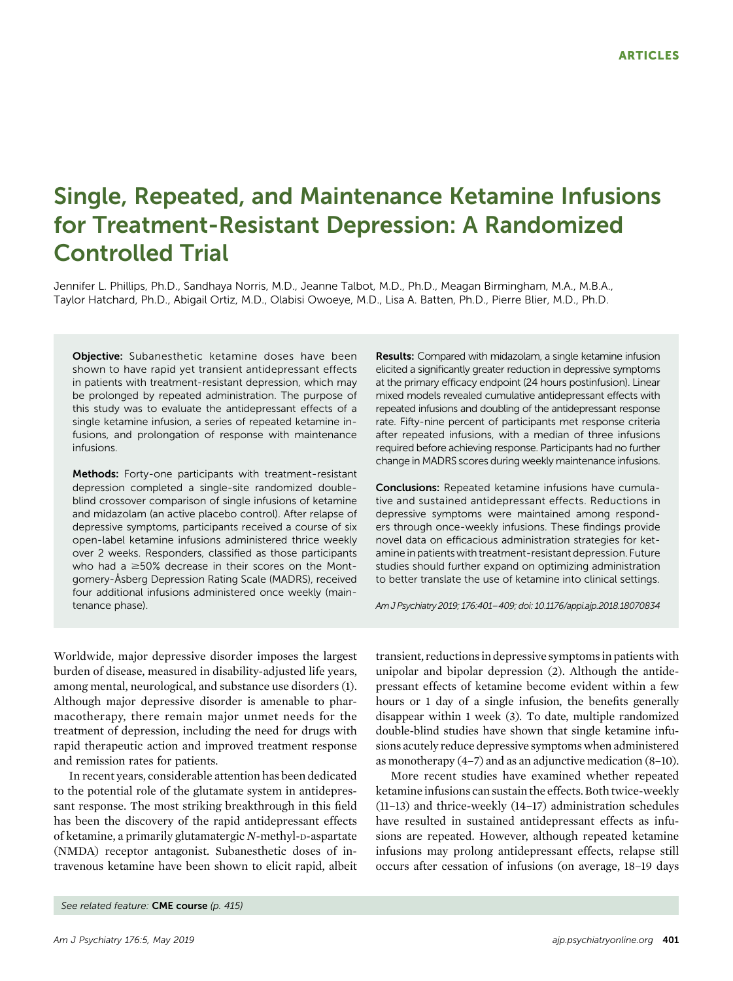# Single, Repeated, and Maintenance Ketamine Infusions for Treatment-Resistant Depression: A Randomized Controlled Trial

Jennifer L. Phillips, Ph.D., Sandhaya Norris, M.D., Jeanne Talbot, M.D., Ph.D., Meagan Birmingham, M.A., M.B.A., Taylor Hatchard, Ph.D., Abigail Ortiz, M.D., Olabisi Owoeye, M.D., Lisa A. Batten, Ph.D., Pierre Blier, M.D., Ph.D.

**Objective:** Subanesthetic ketamine doses have been shown to have rapid yet transient antidepressant effects in patients with treatment-resistant depression, which may be prolonged by repeated administration. The purpose of this study was to evaluate the antidepressant effects of a single ketamine infusion, a series of repeated ketamine infusions, and prolongation of response with maintenance infusions.

Methods: Forty-one participants with treatment-resistant depression completed a single-site randomized doubleblind crossover comparison of single infusions of ketamine and midazolam (an active placebo control). After relapse of depressive symptoms, participants received a course of six open-label ketamine infusions administered thrice weekly over 2 weeks. Responders, classified as those participants who had a  $\geq 50\%$  decrease in their scores on the Montgomery-Åsberg Depression Rating Scale (MADRS), received four additional infusions administered once weekly (maintenance phase).

Results: Compared with midazolam, a single ketamine infusion elicited a significantly greater reduction in depressive symptoms at the primary efficacy endpoint (24 hours postinfusion). Linear mixed models revealed cumulative antidepressant effects with repeated infusions and doubling of the antidepressant response rate. Fifty-nine percent of participants met response criteria after repeated infusions, with a median of three infusions required before achieving response. Participants had no further change in MADRS scores during weekly maintenance infusions.

Conclusions: Repeated ketamine infusions have cumulative and sustained antidepressant effects. Reductions in depressive symptoms were maintained among responders through once-weekly infusions. These findings provide novel data on efficacious administration strategies for ketamine in patients with treatment-resistant depression. Future studies should further expand on optimizing administration to better translate the use of ketamine into clinical settings.

Am J Psychiatry 2019; 176:401–409; doi: 10.1176/appi.ajp.2018.18070834

Worldwide, major depressive disorder imposes the largest burden of disease, measured in disability-adjusted life years, among mental, neurological, and substance use disorders (1). Although major depressive disorder is amenable to pharmacotherapy, there remain major unmet needs for the treatment of depression, including the need for drugs with rapid therapeutic action and improved treatment response and remission rates for patients.

In recent years, considerable attention has been dedicated to the potential role of the glutamate system in antidepressant response. The most striking breakthrough in this field has been the discovery of the rapid antidepressant effects of ketamine, a primarily glutamatergic N-methyl-D-aspartate (NMDA) receptor antagonist. Subanesthetic doses of intravenous ketamine have been shown to elicit rapid, albeit transient, reductionsin depressive symptoms in patients with unipolar and bipolar depression (2). Although the antidepressant effects of ketamine become evident within a few hours or 1 day of a single infusion, the benefits generally disappear within 1 week (3). To date, multiple randomized double-blind studies have shown that single ketamine infusions acutely reduce depressive symptoms when administered as monotherapy (4–7) and as an adjunctive medication (8–10).

More recent studies have examined whether repeated ketamine infusions can sustain the effects. Both twice-weekly (11–13) and thrice-weekly (14–17) administration schedules have resulted in sustained antidepressant effects as infusions are repeated. However, although repeated ketamine infusions may prolong antidepressant effects, relapse still occurs after cessation of infusions (on average, 18–19 days

See related feature: CME course (p. 415)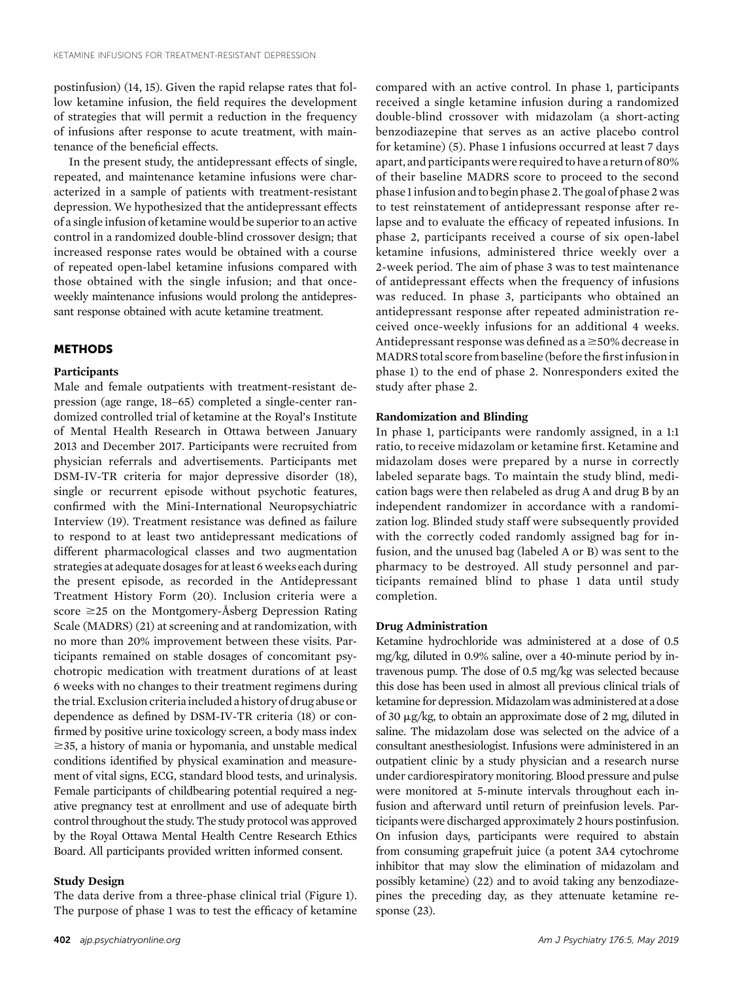postinfusion) (14, 15). Given the rapid relapse rates that follow ketamine infusion, the field requires the development of strategies that will permit a reduction in the frequency of infusions after response to acute treatment, with maintenance of the beneficial effects.

In the present study, the antidepressant effects of single, repeated, and maintenance ketamine infusions were characterized in a sample of patients with treatment-resistant depression. We hypothesized that the antidepressant effects of a single infusion of ketamine would be superior to an active control in a randomized double-blind crossover design; that increased response rates would be obtained with a course of repeated open-label ketamine infusions compared with those obtained with the single infusion; and that onceweekly maintenance infusions would prolong the antidepressant response obtained with acute ketamine treatment.

## **METHODS**

## Participants

Male and female outpatients with treatment-resistant depression (age range, 18–65) completed a single-center randomized controlled trial of ketamine at the Royal's Institute of Mental Health Research in Ottawa between January 2013 and December 2017. Participants were recruited from physician referrals and advertisements. Participants met DSM-IV-TR criteria for major depressive disorder (18), single or recurrent episode without psychotic features, confirmed with the Mini-International Neuropsychiatric Interview (19). Treatment resistance was defined as failure to respond to at least two antidepressant medications of different pharmacological classes and two augmentation strategies at adequate dosages for at least 6 weeks each during the present episode, as recorded in the Antidepressant Treatment History Form (20). Inclusion criteria were a score  $\geq$ 25 on the Montgomery-Åsberg Depression Rating Scale (MADRS) (21) at screening and at randomization, with no more than 20% improvement between these visits. Participants remained on stable dosages of concomitant psychotropic medication with treatment durations of at least 6 weeks with no changes to their treatment regimens during the trial. Exclusion criteria included a history of drug abuse or dependence as defined by DSM-IV-TR criteria (18) or confirmed by positive urine toxicology screen, a body mass index  $\geq$ 35, a history of mania or hypomania, and unstable medical conditions identified by physical examination and measurement of vital signs, ECG, standard blood tests, and urinalysis. Female participants of childbearing potential required a negative pregnancy test at enrollment and use of adequate birth control throughout the study. The study protocol was approved by the Royal Ottawa Mental Health Centre Research Ethics Board. All participants provided written informed consent.

## Study Design

The data derive from a three-phase clinical trial (Figure 1). The purpose of phase 1 was to test the efficacy of ketamine compared with an active control. In phase 1, participants received a single ketamine infusion during a randomized double-blind crossover with midazolam (a short-acting benzodiazepine that serves as an active placebo control for ketamine) (5). Phase 1 infusions occurred at least 7 days apart, and participants were required to have a return of 80% of their baseline MADRS score to proceed to the second phase 1 infusion and to begin phase 2. The goal of phase 2 was to test reinstatement of antidepressant response after relapse and to evaluate the efficacy of repeated infusions. In phase 2, participants received a course of six open-label ketamine infusions, administered thrice weekly over a 2-week period. The aim of phase 3 was to test maintenance of antidepressant effects when the frequency of infusions was reduced. In phase 3, participants who obtained an antidepressant response after repeated administration received once-weekly infusions for an additional 4 weeks. Antidepressant response was defined as  $a \ge 50\%$  decrease in MADRS total score from baseline (before the first infusion in phase 1) to the end of phase 2. Nonresponders exited the study after phase 2.

#### Randomization and Blinding

In phase 1, participants were randomly assigned, in a 1:1 ratio, to receive midazolam or ketamine first. Ketamine and midazolam doses were prepared by a nurse in correctly labeled separate bags. To maintain the study blind, medication bags were then relabeled as drug A and drug B by an independent randomizer in accordance with a randomization log. Blinded study staff were subsequently provided with the correctly coded randomly assigned bag for infusion, and the unused bag (labeled A or B) was sent to the pharmacy to be destroyed. All study personnel and participants remained blind to phase 1 data until study completion.

### Drug Administration

Ketamine hydrochloride was administered at a dose of 0.5 mg/kg, diluted in 0.9% saline, over a 40-minute period by intravenous pump. The dose of 0.5 mg/kg was selected because this dose has been used in almost all previous clinical trials of ketamine for depression. Midazolam was administered at a dose of 30 mg/kg, to obtain an approximate dose of 2 mg, diluted in saline. The midazolam dose was selected on the advice of a consultant anesthesiologist. Infusions were administered in an outpatient clinic by a study physician and a research nurse under cardiorespiratory monitoring. Blood pressure and pulse were monitored at 5-minute intervals throughout each infusion and afterward until return of preinfusion levels. Participants were discharged approximately 2 hours postinfusion. On infusion days, participants were required to abstain from consuming grapefruit juice (a potent 3A4 cytochrome inhibitor that may slow the elimination of midazolam and possibly ketamine) (22) and to avoid taking any benzodiazepines the preceding day, as they attenuate ketamine response (23).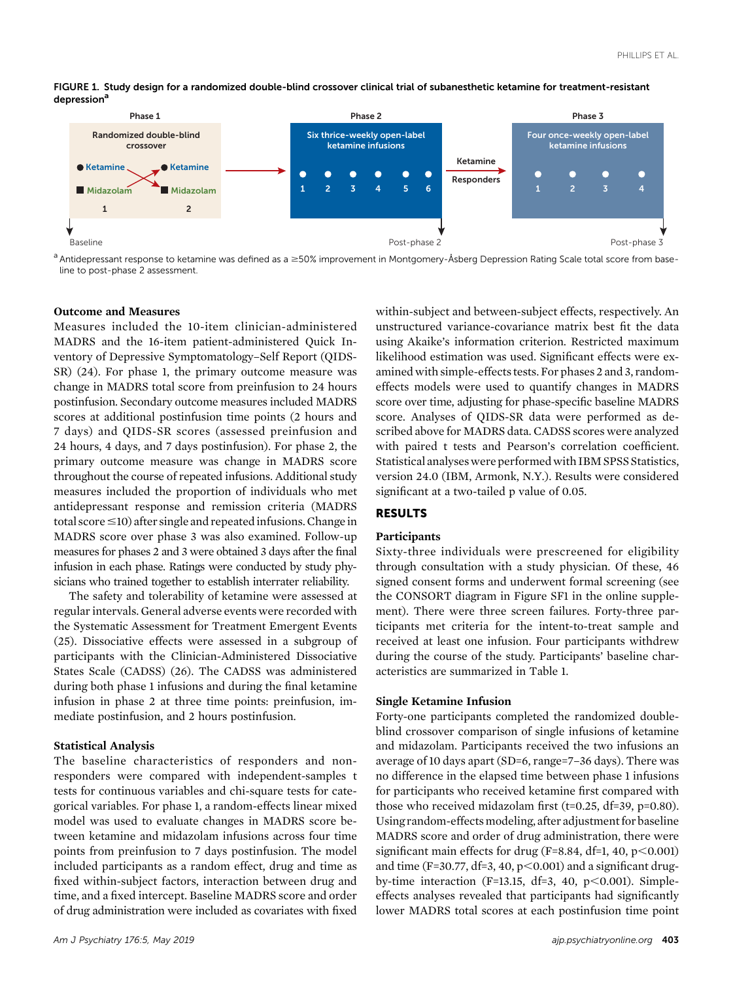



a Antidepressant response to ketamine was defined as a ≥50% improvement in Montgomery-Åsberg Depression Rating Scale total score from baseline to post-phase 2 assessment.

#### Outcome and Measures

Measures included the 10-item clinician-administered MADRS and the 16-item patient-administered Quick Inventory of Depressive Symptomatology–Self Report (QIDS-SR) (24). For phase 1, the primary outcome measure was change in MADRS total score from preinfusion to 24 hours postinfusion. Secondary outcome measures included MADRS scores at additional postinfusion time points (2 hours and 7 days) and QIDS-SR scores (assessed preinfusion and 24 hours, 4 days, and 7 days postinfusion). For phase 2, the primary outcome measure was change in MADRS score throughout the course of repeated infusions. Additional study measures included the proportion of individuals who met antidepressant response and remission criteria (MADRS total score  $\leq 10$ ) after single and repeated infusions. Change in MADRS score over phase 3 was also examined. Follow-up measures for phases 2 and 3 were obtained 3 days after the final infusion in each phase. Ratings were conducted by study physicians who trained together to establish interrater reliability.

The safety and tolerability of ketamine were assessed at regular intervals. General adverse events were recorded with the Systematic Assessment for Treatment Emergent Events (25). Dissociative effects were assessed in a subgroup of participants with the Clinician-Administered Dissociative States Scale (CADSS) (26). The CADSS was administered during both phase 1 infusions and during the final ketamine infusion in phase 2 at three time points: preinfusion, immediate postinfusion, and 2 hours postinfusion.

### Statistical Analysis

The baseline characteristics of responders and nonresponders were compared with independent-samples t tests for continuous variables and chi-square tests for categorical variables. For phase 1, a random-effects linear mixed model was used to evaluate changes in MADRS score between ketamine and midazolam infusions across four time points from preinfusion to 7 days postinfusion. The model included participants as a random effect, drug and time as fixed within-subject factors, interaction between drug and time, and a fixed intercept. Baseline MADRS score and order of drug administration were included as covariates with fixed

Am J Psychiatry 176:5, May 2019 **and Structure 1998** and the structure of the structure of the structure of the structure of the structure of the structure of the structure of the structure of the structure of the structur

within-subject and between-subject effects, respectively. An unstructured variance-covariance matrix best fit the data using Akaike's information criterion. Restricted maximum likelihood estimation was used. Significant effects were examined with simple-effects tests. For phases 2 and 3, randomeffects models were used to quantify changes in MADRS score over time, adjusting for phase-specific baseline MADRS score. Analyses of QIDS-SR data were performed as described above for MADRS data. CADSS scores were analyzed with paired t tests and Pearson's correlation coefficient. Statistical analyses were performed with IBM SPSS Statistics, version 24.0 (IBM, Armonk, N.Y.). Results were considered significant at a two-tailed p value of 0.05.

## RESULTS

## **Participants**

Sixty-three individuals were prescreened for eligibility through consultation with a study physician. Of these, 46 signed consent forms and underwent formal screening (see the CONSORT diagram in Figure SF1 in the online supplement). There were three screen failures. Forty-three participants met criteria for the intent-to-treat sample and received at least one infusion. Four participants withdrew during the course of the study. Participants' baseline characteristics are summarized in Table 1.

## Single Ketamine Infusion

Forty-one participants completed the randomized doubleblind crossover comparison of single infusions of ketamine and midazolam. Participants received the two infusions an average of 10 days apart (SD=6, range=7–36 days). There was no difference in the elapsed time between phase 1 infusions for participants who received ketamine first compared with those who received midazolam first (t=0.25, df=39, p=0.80). Using random-effects modeling, after adjustment for baseline MADRS score and order of drug administration, there were significant main effects for drug (F=8.84, df=1, 40,  $p$ <0.001) and time (F=30.77, df=3, 40,  $p<0.001$ ) and a significant drugby-time interaction (F=13.15, df=3, 40,  $p<0.001$ ). Simpleeffects analyses revealed that participants had significantly lower MADRS total scores at each postinfusion time point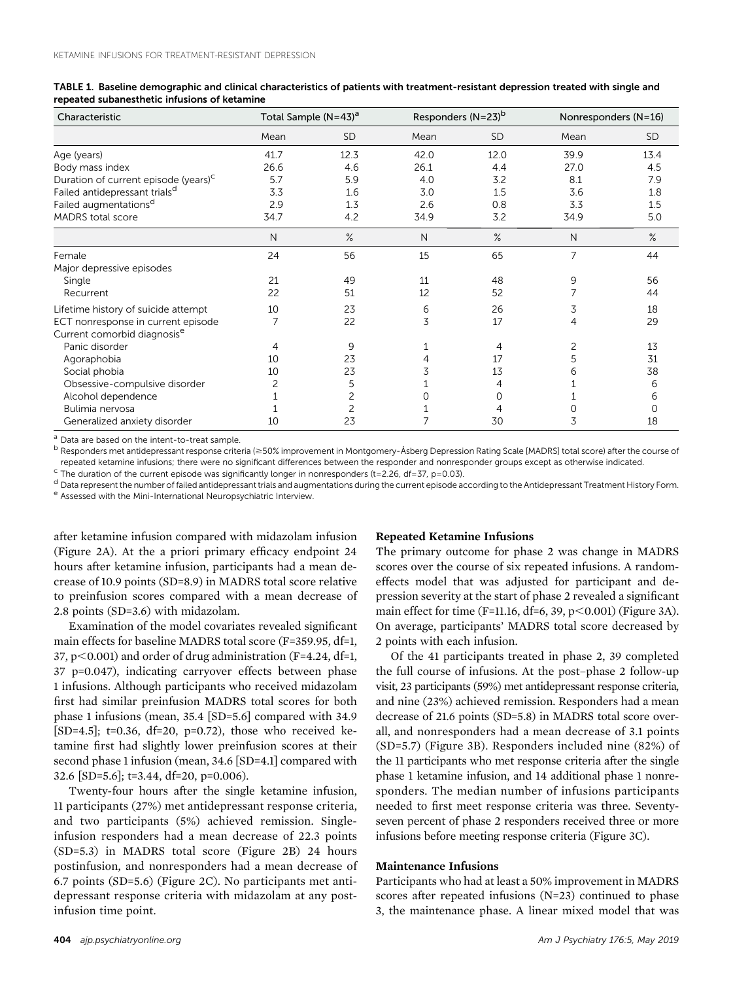| Characteristic                                   | Total Sample (N=43) <sup>a</sup> |                | Responders (N=23) <sup>b</sup> |           | Nonresponders (N=16) |                |
|--------------------------------------------------|----------------------------------|----------------|--------------------------------|-----------|----------------------|----------------|
|                                                  | Mean                             | <b>SD</b>      | Mean                           | <b>SD</b> | Mean                 | SD             |
| Age (years)                                      | 41.7                             | 12.3           | 42.0                           | 12.0      | 39.9                 | 13.4           |
| Body mass index                                  | 26.6                             | 4.6            | 26.1                           | 4.4       | 27.0                 | 4.5            |
| Duration of current episode (years) <sup>c</sup> | 5.7                              | 5.9            | 4.0                            | 3.2       | 8.1                  | 7.9            |
| Failed antidepressant trials <sup>d</sup>        | 3.3                              | 1.6            | 3.0                            | 1.5       | 3.6                  | 1.8            |
| Failed augmentations <sup>d</sup>                | 2.9                              | 1.3            | 2.6                            | 0.8       | 3.3                  | 1.5            |
| MADRS total score                                | 34.7                             | 4.2            | 34.9                           | 3.2       | 34.9                 | 5.0            |
|                                                  | $\mathsf{N}$                     | $\%$           | $\mathsf{N}$                   | $\%$      | $\mathsf{N}$         | $\%$           |
| Female                                           | 24                               | 56             | 15                             | 65        | 7                    | 44             |
| Major depressive episodes                        |                                  |                |                                |           |                      |                |
| Single                                           | 21                               | 49             | 11                             | 48        | 9                    | 56             |
| Recurrent                                        | 22                               | 51             | 12                             | 52        | 7                    | 44             |
| Lifetime history of suicide attempt              | 10                               | 23             | 6                              | 26        | 3                    | 18             |
| ECT nonresponse in current episode               | 7                                | 22             | 3                              | 17        | 4                    | 29             |
| Current comorbid diagnosis <sup>e</sup>          |                                  |                |                                |           |                      |                |
| Panic disorder                                   | 4                                | $\mathsf{Q}$   |                                | 4         | $\overline{c}$       | 13             |
| Agoraphobia                                      | 10                               | 23             |                                | 17        | 5                    | 31             |
| Social phobia                                    | 10                               | 23             | 3                              | 13        | 6                    | 38             |
| Obsessive-compulsive disorder                    | 2                                | 5              |                                | 4         |                      | 6              |
| Alcohol dependence                               |                                  | $\overline{c}$ | 0                              | 0         |                      | 6              |
| Bulimia nervosa                                  |                                  | $\overline{c}$ |                                |           | 0                    | $\overline{0}$ |
| Generalized anxiety disorder                     | 10                               | 23             |                                | 30        | 3                    | 18             |

TABLE 1. Baseline demographic and clinical characteristics of patients with treatment-resistant depression treated with single and repeated subanesthetic infusions of ketamine

<sup>a</sup> Data are based on the intent-to-treat sample.

b Responders met antidepressant response criteria (≥50% improvement in Montgomery-Åsberg Depression Rating Scale [MADRS] total score) after the course of

repeated ketamine infusions; there were no significant differences between the responder and nonresponder groups except as otherwise indicated.<br>
<sup>c</sup> The duration of the current episode was significantly longer in nonrespo

after ketamine infusion compared with midazolam infusion (Figure 2A). At the a priori primary efficacy endpoint 24 hours after ketamine infusion, participants had a mean decrease of 10.9 points (SD=8.9) in MADRS total score relative to preinfusion scores compared with a mean decrease of 2.8 points (SD=3.6) with midazolam.

Examination of the model covariates revealed significant main effects for baseline MADRS total score (F=359.95, df=1, 37, p $\leq$ 0.001) and order of drug administration (F=4.24, df=1, 37 p=0.047), indicating carryover effects between phase 1 infusions. Although participants who received midazolam first had similar preinfusion MADRS total scores for both phase 1 infusions (mean, 35.4 [SD=5.6] compared with 34.9 [SD=4.5]; t=0.36, df=20, p=0.72), those who received ketamine first had slightly lower preinfusion scores at their second phase 1 infusion (mean, 34.6 [SD=4.1] compared with 32.6 [SD=5.6]; t=3.44, df=20, p=0.006).

Twenty-four hours after the single ketamine infusion, 11 participants (27%) met antidepressant response criteria, and two participants (5%) achieved remission. Singleinfusion responders had a mean decrease of 22.3 points (SD=5.3) in MADRS total score (Figure 2B) 24 hours postinfusion, and nonresponders had a mean decrease of 6.7 points (SD=5.6) (Figure 2C). No participants met antidepressant response criteria with midazolam at any postinfusion time point.

#### Repeated Ketamine Infusions

The primary outcome for phase 2 was change in MADRS scores over the course of six repeated infusions. A randomeffects model that was adjusted for participant and depression severity at the start of phase 2 revealed a significant main effect for time (F=11.16, df=6, 39,  $p<0.001$ ) (Figure 3A). On average, participants' MADRS total score decreased by 2 points with each infusion.

Of the 41 participants treated in phase 2, 39 completed the full course of infusions. At the post–phase 2 follow-up visit, 23 participants (59%) met antidepressant response criteria, and nine (23%) achieved remission. Responders had a mean decrease of 21.6 points (SD=5.8) in MADRS total score overall, and nonresponders had a mean decrease of 3.1 points (SD=5.7) (Figure 3B). Responders included nine (82%) of the 11 participants who met response criteria after the single phase 1 ketamine infusion, and 14 additional phase 1 nonresponders. The median number of infusions participants needed to first meet response criteria was three. Seventyseven percent of phase 2 responders received three or more infusions before meeting response criteria (Figure 3C).

## Maintenance Infusions

Participants who had at least a 50% improvement in MADRS scores after repeated infusions (N=23) continued to phase 3, the maintenance phase. A linear mixed model that was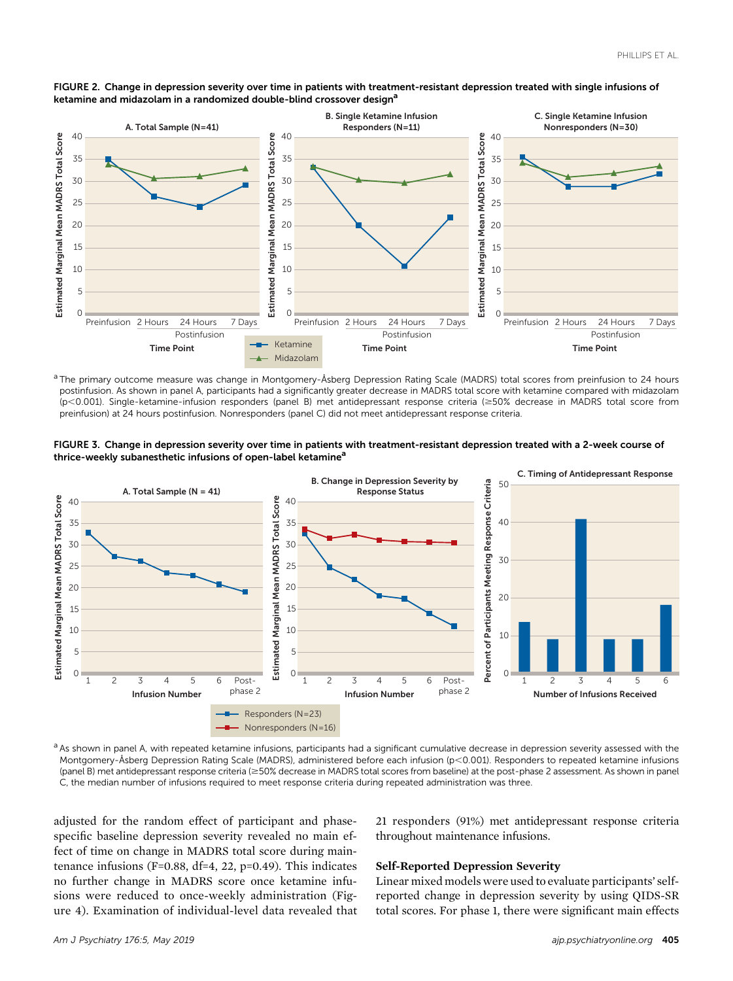

FIGURE 2. Change in depression severity over time in patients with treatment-resistant depression treated with single infusions of ketamine and midazolam in a randomized double-blind crossover design<sup>a</sup>

<sup>a</sup> The primary outcome measure was change in Montgomery-Åsberg Depression Rating Scale (MADRS) total scores from preinfusion to 24 hours postinfusion. As shown in panel A, participants had a significantly greater decrease in MADRS total score with ketamine compared with midazolam (p,0.001). Single-ketamine-infusion responders (panel B) met antidepressant response criteria (\$50% decrease in MADRS total score from preinfusion) at 24 hours postinfusion. Nonresponders (panel C) did not meet antidepressant response criteria.

FIGURE 3. Change in depression severity over time in patients with treatment-resistant depression treated with a 2-week course of thrice-weekly subanesthetic infusions of open-label ketamine<sup>a</sup>



a As shown in panel A, with repeated ketamine infusions, participants had a significant cumulative decrease in depression severity assessed with the Montgomery-Åsberg Depression Rating Scale (MADRS), administered before each infusion (p<0.001). Responders to repeated ketamine infusions (panel B) met antidepressant response criteria ( $\geq$ 50% decrease in MADRS total scores from baseline) at the post-phase 2 assessment. As shown in panel C, the median number of infusions required to meet response criteria during repeated administration was three.

adjusted for the random effect of participant and phasespecific baseline depression severity revealed no main effect of time on change in MADRS total score during maintenance infusions (F=0.88, df=4, 22, p=0.49). This indicates no further change in MADRS score once ketamine infusions were reduced to once-weekly administration (Figure 4). Examination of individual-level data revealed that 21 responders (91%) met antidepressant response criteria throughout maintenance infusions.

# Self-Reported Depression Severity

Linear mixed models were used to evaluate participants' selfreported change in depression severity by using QIDS-SR total scores. For phase 1, there were significant main effects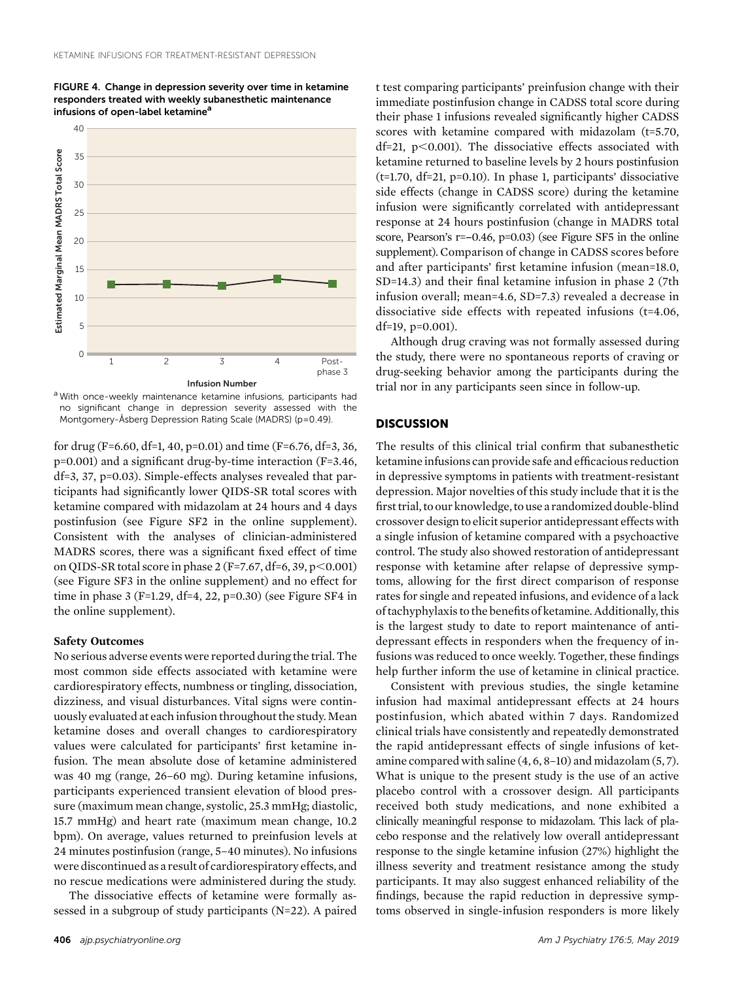



a With once-weekly maintenance ketamine infusions, participants had no significant change in depression severity assessed with the Montgomery-Åsberg Depression Rating Scale (MADRS) (p=0.49).

for drug (F=6.60, df=1, 40, p=0.01) and time (F=6.76, df=3, 36, p=0.001) and a significant drug-by-time interaction (F=3.46, df=3, 37, p=0.03). Simple-effects analyses revealed that participants had significantly lower QIDS-SR total scores with ketamine compared with midazolam at 24 hours and 4 days postinfusion (see Figure SF2 in the online supplement). Consistent with the analyses of clinician-administered MADRS scores, there was a significant fixed effect of time on QIDS-SR total score in phase 2 (F=7.67, df=6, 39, p<0.001) (see Figure SF3 in the online supplement) and no effect for time in phase 3 (F=1.29, df=4, 22, p=0.30) (see Figure SF4 in the online supplement).

## Safety Outcomes

No serious adverse events were reported during the trial. The most common side effects associated with ketamine were cardiorespiratory effects, numbness or tingling, dissociation, dizziness, and visual disturbances. Vital signs were continuously evaluated at each infusion throughout the study.Mean ketamine doses and overall changes to cardiorespiratory values were calculated for participants' first ketamine infusion. The mean absolute dose of ketamine administered was 40 mg (range, 26–60 mg). During ketamine infusions, participants experienced transient elevation of blood pressure (maximum mean change, systolic, 25.3 mmHg; diastolic, 15.7 mmHg) and heart rate (maximum mean change, 10.2 bpm). On average, values returned to preinfusion levels at 24 minutes postinfusion (range, 5–40 minutes). No infusions were discontinued as a result of cardiorespiratory effects, and no rescue medications were administered during the study.

The dissociative effects of ketamine were formally assessed in a subgroup of study participants (N=22). A paired

t test comparing participants' preinfusion change with their immediate postinfusion change in CADSS total score during their phase 1 infusions revealed significantly higher CADSS scores with ketamine compared with midazolam (t=5.70, df=21,  $p<0.001$ ). The dissociative effects associated with ketamine returned to baseline levels by 2 hours postinfusion (t=1.70, df=21, p=0.10). In phase 1, participants' dissociative side effects (change in CADSS score) during the ketamine infusion were significantly correlated with antidepressant response at 24 hours postinfusion (change in MADRS total score, Pearson's r=–0.46, p=0.03) (see Figure SF5 in the online supplement). Comparison of change in CADSS scores before and after participants' first ketamine infusion (mean=18.0, SD=14.3) and their final ketamine infusion in phase 2 (7th infusion overall; mean=4.6, SD=7.3) revealed a decrease in dissociative side effects with repeated infusions (t=4.06, df=19, p=0.001).

Although drug craving was not formally assessed during the study, there were no spontaneous reports of craving or drug-seeking behavior among the participants during the trial nor in any participants seen since in follow-up.

#### **DISCUSSION**

The results of this clinical trial confirm that subanesthetic ketamine infusions can provide safe and efficacious reduction in depressive symptoms in patients with treatment-resistant depression. Major novelties of this study include that it is the first trial, to our knowledge, to use a randomized double-blind crossover design to elicit superior antidepressant effects with a single infusion of ketamine compared with a psychoactive control. The study also showed restoration of antidepressant response with ketamine after relapse of depressive symptoms, allowing for the first direct comparison of response rates for single and repeated infusions, and evidence of a lack of tachyphylaxis to the benefits of ketamine. Additionally, this is the largest study to date to report maintenance of antidepressant effects in responders when the frequency of infusions was reduced to once weekly. Together, these findings help further inform the use of ketamine in clinical practice.

Consistent with previous studies, the single ketamine infusion had maximal antidepressant effects at 24 hours postinfusion, which abated within 7 days. Randomized clinical trials have consistently and repeatedly demonstrated the rapid antidepressant effects of single infusions of ketamine compared with saline (4, 6, 8–10) and midazolam (5, 7). What is unique to the present study is the use of an active placebo control with a crossover design. All participants received both study medications, and none exhibited a clinically meaningful response to midazolam. This lack of placebo response and the relatively low overall antidepressant response to the single ketamine infusion (27%) highlight the illness severity and treatment resistance among the study participants. It may also suggest enhanced reliability of the findings, because the rapid reduction in depressive symptoms observed in single-infusion responders is more likely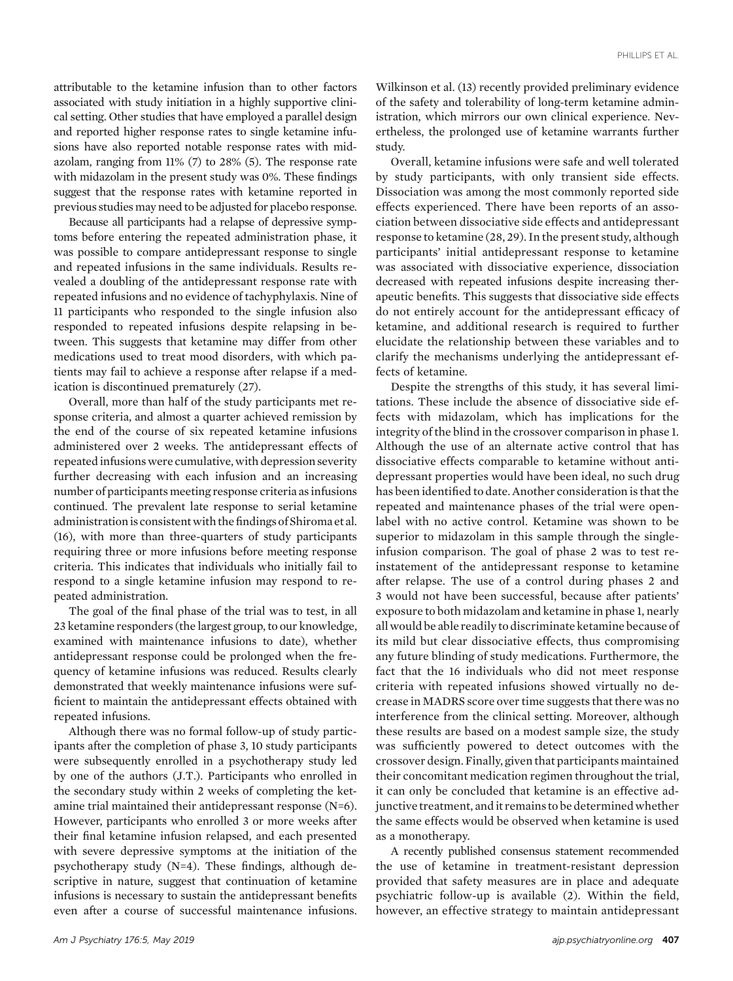attributable to the ketamine infusion than to other factors associated with study initiation in a highly supportive clinical setting. Other studies that have employed a parallel design and reported higher response rates to single ketamine infusions have also reported notable response rates with midazolam, ranging from 11% (7) to 28% (5). The response rate with midazolam in the present study was 0%. These findings suggest that the response rates with ketamine reported in previous studies may need to be adjusted for placebo response.

Because all participants had a relapse of depressive symptoms before entering the repeated administration phase, it was possible to compare antidepressant response to single and repeated infusions in the same individuals. Results revealed a doubling of the antidepressant response rate with repeated infusions and no evidence of tachyphylaxis. Nine of 11 participants who responded to the single infusion also responded to repeated infusions despite relapsing in between. This suggests that ketamine may differ from other medications used to treat mood disorders, with which patients may fail to achieve a response after relapse if a medication is discontinued prematurely (27).

Overall, more than half of the study participants met response criteria, and almost a quarter achieved remission by the end of the course of six repeated ketamine infusions administered over 2 weeks. The antidepressant effects of repeated infusions were cumulative, with depression severity further decreasing with each infusion and an increasing number of participants meeting response criteria as infusions continued. The prevalent late response to serial ketamine administration is consistent with the findings of Shiroma et al. (16), with more than three-quarters of study participants requiring three or more infusions before meeting response criteria. This indicates that individuals who initially fail to respond to a single ketamine infusion may respond to repeated administration.

The goal of the final phase of the trial was to test, in all 23 ketamine responders (the largest group, to our knowledge, examined with maintenance infusions to date), whether antidepressant response could be prolonged when the frequency of ketamine infusions was reduced. Results clearly demonstrated that weekly maintenance infusions were sufficient to maintain the antidepressant effects obtained with repeated infusions.

Although there was no formal follow-up of study participants after the completion of phase 3, 10 study participants were subsequently enrolled in a psychotherapy study led by one of the authors (J.T.). Participants who enrolled in the secondary study within 2 weeks of completing the ketamine trial maintained their antidepressant response (N=6). However, participants who enrolled 3 or more weeks after their final ketamine infusion relapsed, and each presented with severe depressive symptoms at the initiation of the psychotherapy study (N=4). These findings, although descriptive in nature, suggest that continuation of ketamine infusions is necessary to sustain the antidepressant benefits even after a course of successful maintenance infusions.

Wilkinson et al. (13) recently provided preliminary evidence of the safety and tolerability of long-term ketamine administration, which mirrors our own clinical experience. Nevertheless, the prolonged use of ketamine warrants further study.

Overall, ketamine infusions were safe and well tolerated by study participants, with only transient side effects. Dissociation was among the most commonly reported side effects experienced. There have been reports of an association between dissociative side effects and antidepressant response to ketamine (28, 29). In the present study, although participants' initial antidepressant response to ketamine was associated with dissociative experience, dissociation decreased with repeated infusions despite increasing therapeutic benefits. This suggests that dissociative side effects do not entirely account for the antidepressant efficacy of ketamine, and additional research is required to further elucidate the relationship between these variables and to clarify the mechanisms underlying the antidepressant effects of ketamine.

Despite the strengths of this study, it has several limitations. These include the absence of dissociative side effects with midazolam, which has implications for the integrity of the blind in the crossover comparison in phase 1. Although the use of an alternate active control that has dissociative effects comparable to ketamine without antidepressant properties would have been ideal, no such drug has been identified to date. Another consideration is that the repeated and maintenance phases of the trial were openlabel with no active control. Ketamine was shown to be superior to midazolam in this sample through the singleinfusion comparison. The goal of phase 2 was to test reinstatement of the antidepressant response to ketamine after relapse. The use of a control during phases 2 and 3 would not have been successful, because after patients' exposure to both midazolam and ketamine in phase 1, nearly all would be able readily to discriminate ketamine because of its mild but clear dissociative effects, thus compromising any future blinding of study medications. Furthermore, the fact that the 16 individuals who did not meet response criteria with repeated infusions showed virtually no decrease in MADRS score over time suggests that there was no interference from the clinical setting. Moreover, although these results are based on a modest sample size, the study was sufficiently powered to detect outcomes with the crossover design. Finally, given that participants maintained their concomitant medication regimen throughout the trial, it can only be concluded that ketamine is an effective adjunctive treatment, and it remains to be determined whether the same effects would be observed when ketamine is used as a monotherapy.

A recently published consensus statement recommended the use of ketamine in treatment-resistant depression provided that safety measures are in place and adequate psychiatric follow-up is available (2). Within the field, however, an effective strategy to maintain antidepressant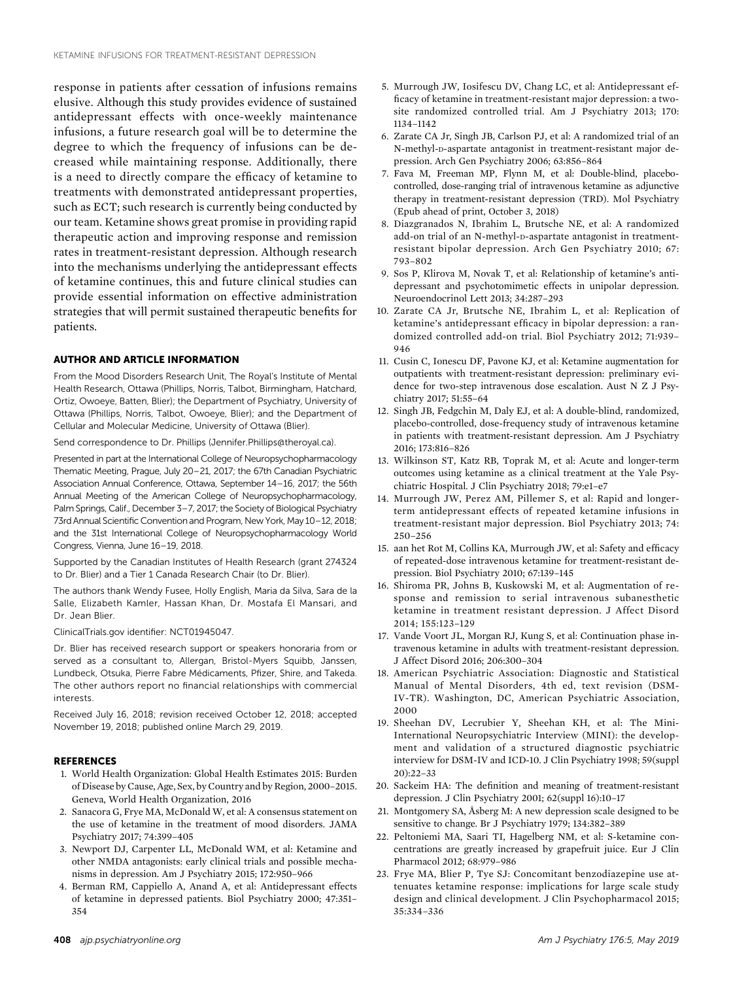response in patients after cessation of infusions remains elusive. Although this study provides evidence of sustained antidepressant effects with once-weekly maintenance infusions, a future research goal will be to determine the degree to which the frequency of infusions can be decreased while maintaining response. Additionally, there is a need to directly compare the efficacy of ketamine to treatments with demonstrated antidepressant properties, such as ECT; such research is currently being conducted by our team. Ketamine shows great promise in providing rapid therapeutic action and improving response and remission rates in treatment-resistant depression. Although research into the mechanisms underlying the antidepressant effects of ketamine continues, this and future clinical studies can provide essential information on effective administration strategies that will permit sustained therapeutic benefits for patients.

#### AUTHOR AND ARTICLE INFORMATION

From the Mood Disorders Research Unit, The Royal's Institute of Mental Health Research, Ottawa (Phillips, Norris, Talbot, Birmingham, Hatchard, Ortiz, Owoeye, Batten, Blier); the Department of Psychiatry, University of Ottawa (Phillips, Norris, Talbot, Owoeye, Blier); and the Department of Cellular and Molecular Medicine, University of Ottawa (Blier).

Send correspondence to Dr. Phillips ([Jennifer.Phillips@theroyal.ca\)](mailto:Jennifer.Phillips@theroyal.ca).

Presented in part at the International College of Neuropsychopharmacology Thematic Meeting, Prague, July 20–21, 2017; the 67th Canadian Psychiatric Association Annual Conference, Ottawa, September 14–16, 2017; the 56th Annual Meeting of the American College of Neuropsychopharmacology, Palm Springs, Calif., December 3–7, 2017; the Society of Biological Psychiatry 73rd Annual Scientific Convention and Program, New York, May 10–12, 2018; and the 31st International College of Neuropsychopharmacology World Congress, Vienna, June 16–19, 2018.

Supported by the Canadian Institutes of Health Research (grant 274324 to Dr. Blier) and a Tier 1 Canada Research Chair (to Dr. Blier).

The authors thank Wendy Fusee, Holly English, Maria da Silva, Sara de la Salle, Elizabeth Kamler, Hassan Khan, Dr. Mostafa El Mansari, and Dr. Jean Blier.

ClinicalTrials.gov identifier: NCT01945047.

Dr. Blier has received research support or speakers honoraria from or served as a consultant to, Allergan, Bristol-Myers Squibb, Janssen, Lundbeck, Otsuka, Pierre Fabre Médicaments, Pfizer, Shire, and Takeda. The other authors report no financial relationships with commercial interests.

Received July 16, 2018; revision received October 12, 2018; accepted November 19, 2018; published online March 29, 2019.

#### **REFERENCES**

- 1. World Health Organization: Global Health Estimates 2015: Burden of Disease by Cause, Age, Sex, by Country and by Region, 2000–2015. Geneva, World Health Organization, 2016
- 2. Sanacora G, Frye MA, McDonald W, et al: A consensus statement on the use of ketamine in the treatment of mood disorders. JAMA Psychiatry 2017; 74:399–405
- 3. Newport DJ, Carpenter LL, McDonald WM, et al: Ketamine and other NMDA antagonists: early clinical trials and possible mechanisms in depression. Am J Psychiatry 2015; 172:950–966
- 4. Berman RM, Cappiello A, Anand A, et al: Antidepressant effects of ketamine in depressed patients. Biol Psychiatry 2000; 47:351– 354
- 5. Murrough JW, Iosifescu DV, Chang LC, et al: Antidepressant efficacy of ketamine in treatment-resistant major depression: a twosite randomized controlled trial. Am J Psychiatry 2013; 170: 1134–1142
- 6. Zarate CA Jr, Singh JB, Carlson PJ, et al: A randomized trial of an N-methyl-D-aspartate antagonist in treatment-resistant major depression. Arch Gen Psychiatry 2006; 63:856–864
- 7. Fava M, Freeman MP, Flynn M, et al: Double-blind, placebocontrolled, dose-ranging trial of intravenous ketamine as adjunctive therapy in treatment-resistant depression (TRD). Mol Psychiatry (Epub ahead of print, October 3, 2018)
- 8. Diazgranados N, Ibrahim L, Brutsche NE, et al: A randomized add-on trial of an N-methyl-D-aspartate antagonist in treatmentresistant bipolar depression. Arch Gen Psychiatry 2010; 67: 793–802
- 9. Sos P, Klirova M, Novak T, et al: Relationship of ketamine's antidepressant and psychotomimetic effects in unipolar depression. Neuroendocrinol Lett 2013; 34:287–293
- 10. Zarate CA Jr, Brutsche NE, Ibrahim L, et al: Replication of ketamine's antidepressant efficacy in bipolar depression: a randomized controlled add-on trial. Biol Psychiatry 2012; 71:939– 946
- 11. Cusin C, Ionescu DF, Pavone KJ, et al: Ketamine augmentation for outpatients with treatment-resistant depression: preliminary evidence for two-step intravenous dose escalation. Aust N Z J Psychiatry 2017; 51:55–64
- 12. Singh JB, Fedgchin M, Daly EJ, et al: A double-blind, randomized, placebo-controlled, dose-frequency study of intravenous ketamine in patients with treatment-resistant depression. Am J Psychiatry 2016; 173:816–826
- 13. Wilkinson ST, Katz RB, Toprak M, et al: Acute and longer-term outcomes using ketamine as a clinical treatment at the Yale Psychiatric Hospital. J Clin Psychiatry 2018; 79:e1–e7
- 14. Murrough JW, Perez AM, Pillemer S, et al: Rapid and longerterm antidepressant effects of repeated ketamine infusions in treatment-resistant major depression. Biol Psychiatry 2013; 74: 250–256
- 15. aan het Rot M, Collins KA, Murrough JW, et al: Safety and efficacy of repeated-dose intravenous ketamine for treatment-resistant depression. Biol Psychiatry 2010; 67:139–145
- 16. Shiroma PR, Johns B, Kuskowski M, et al: Augmentation of response and remission to serial intravenous subanesthetic ketamine in treatment resistant depression. J Affect Disord 2014; 155:123–129
- 17. Vande Voort JL, Morgan RJ, Kung S, et al: Continuation phase intravenous ketamine in adults with treatment-resistant depression. J Affect Disord 2016; 206:300–304
- 18. American Psychiatric Association: Diagnostic and Statistical Manual of Mental Disorders, 4th ed, text revision (DSM-IV-TR). Washington, DC, American Psychiatric Association, 2000
- 19. Sheehan DV, Lecrubier Y, Sheehan KH, et al: The Mini-International Neuropsychiatric Interview (MINI): the development and validation of a structured diagnostic psychiatric interview for DSM-IV and ICD-10. J Clin Psychiatry 1998; 59(suppl 20):22–33
- 20. Sackeim HA: The definition and meaning of treatment-resistant depression. J Clin Psychiatry 2001; 62(suppl 16):10–17
- 21. Montgomery SA, Åsberg M: A new depression scale designed to be sensitive to change. Br J Psychiatry 1979; 134:382–389
- 22. Peltoniemi MA, Saari TI, Hagelberg NM, et al: S-ketamine concentrations are greatly increased by grapefruit juice. Eur J Clin Pharmacol 2012; 68:979–986
- 23. Frye MA, Blier P, Tye SJ: Concomitant benzodiazepine use attenuates ketamine response: implications for large scale study design and clinical development. J Clin Psychopharmacol 2015; 35:334–336